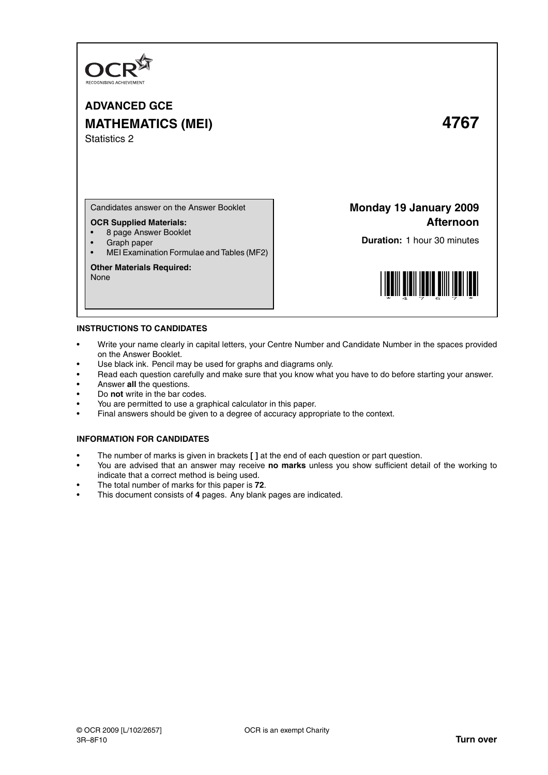

# **ADVANCED GCE MATHEMATICS (MEI) 4767** Statistics 2

Candidates answer on the Answer Booklet

# **OCR Supplied Materials:**

- 8 page Answer Booklet
- Graph paper
- MEI Examination Formulae and Tables (MF2)

### **Other Materials Required:** None

**Monday 19 January 2009 Afternoon**

**Duration:** 1 hour 30 minutes



# **INSTRUCTIONS TO CANDIDATES**

- Write your name clearly in capital letters, your Centre Number and Candidate Number in the spaces provided on the Answer Booklet.
- Use black ink. Pencil may be used for graphs and diagrams only.
- Read each question carefully and make sure that you know what you have to do before starting your answer.
- Answer **all** the questions.
- Do **not** write in the bar codes.
- You are permitted to use a graphical calculator in this paper.
- Final answers should be given to a degree of accuracy appropriate to the context.

# **INFORMATION FOR CANDIDATES**

- The number of marks is given in brackets **[ ]** at the end of each question or part question.
- You are advised that an answer may receive **no marks** unless you show sufficient detail of the working to indicate that a correct method is being used.
- The total number of marks for this paper is **72**.
- This document consists of **4** pages. Any blank pages are indicated.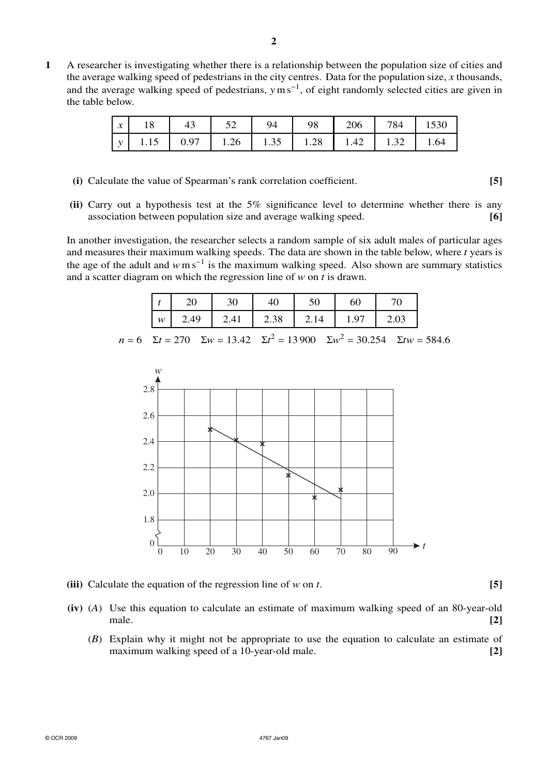**1** A researcher is investigating whether there is a relationship between the population size of cities and the average walking speed of pedestrians in the city centres. Data for the population size, *x* thousands, and the average walking speed of pedestrians, *y*m s<sup>−</sup><sup>1</sup> , of eight randomly selected cities are given in the table below.

| $\boldsymbol{x}$ | 18 | $\vert$ 43 | - 94 | 98 | 206   784   1530                                                                                    |  |
|------------------|----|------------|------|----|-----------------------------------------------------------------------------------------------------|--|
|                  |    |            |      |    | $\vert y \vert$ 1.15 $\vert 0.97 \vert 1.26 \vert 1.35 \vert 1.28 \vert 1.42 \vert 1.32 \vert 1.64$ |  |

- **(i)** Calculate the value of Spearman's rank correlation coefficient. **[5]**
- **(ii)** Carry out a hypothesis test at the 5% significance level to determine whether there is any association between population size and average walking speed. **[6]**

In another investigation, the researcher selects a random sample of six adult males of particular ages and measures their maximum walking speeds. The data are shown in the table below, where *t* years is the age of the adult and  $w \text{ m s}^{-1}$  is the maximum walking speed. Also shown are summary statistics and a scatter diagram on which the regression line of *w* on *t* is drawn.

|   |      | 30   |      | 50    | 60   |      |
|---|------|------|------|-------|------|------|
| w | 2.49 | 2.41 | 2.38 | 12.14 | 1.97 | 2.03 |

*n* = 6  $\Sigma t = 270$   $\Sigma w = 13.42$   $\Sigma t^2 = 13900$   $\Sigma w^2 = 30.254$   $\Sigma tw = 584.6$ 



**(iii)** Calculate the equation of the regression line of *w* on *t*. **[5]**

- 
- **(iv)** (*A*) Use this equation to calculate an estimate of maximum walking speed of an 80-year-old male. **[2]**
	- (*B*) Explain why it might not be appropriate to use the equation to calculate an estimate of maximum walking speed of a 10-year-old male. **[2]**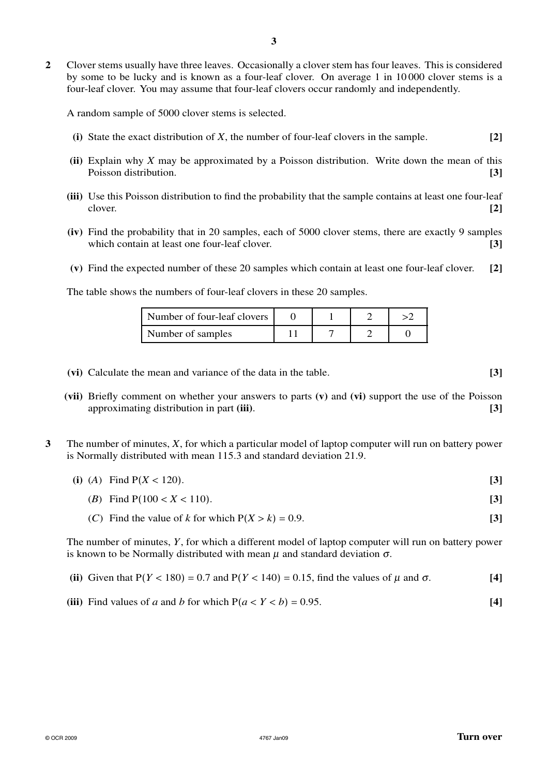**2** Clover stems usually have three leaves. Occasionally a clover stem has four leaves. This is considered by some to be lucky and is known as a four-leaf clover. On average 1 in 10 000 clover stems is a four-leaf clover. You may assume that four-leaf clovers occur randomly and independently.

A random sample of 5000 clover stems is selected.

- **(i)** State the exact distribution of *X*, the number of four-leaf clovers in the sample. **[2]**
- **(ii)** Explain why *X* may be approximated by a Poisson distribution. Write down the mean of this Poisson distribution. **[3]**
- **(iii)** Use this Poisson distribution to find the probability that the sample contains at least one four-leaf clover. **[2]**
- **(iv)** Find the probability that in 20 samples, each of 5000 clover stems, there are exactly 9 samples which contain at least one four-leaf clover. **[3] [3]**
- **(v)** Find the expected number of these 20 samples which contain at least one four-leaf clover. **[2]**

The table shows the numbers of four-leaf clovers in these 20 samples.

| Number of four-leaf clovers |  |  |
|-----------------------------|--|--|
| Number of samples           |  |  |

- **(vi)** Calculate the mean and variance of the data in the table. **[3]**
	-
- **(vii)** Briefly comment on whether your answers to parts **(v)** and **(vi)** support the use of the Poisson approximating distribution in part **(iii)**. **[3]**
- **3** The number of minutes, *X*, for which a particular model of laptop computer will run on battery power is Normally distributed with mean 115.3 and standard deviation 21.9.
	- (i) (A) Find  $P(X < 120)$ . [3]
		- (*B*) Find  $P(100 < X < 110)$ . [3]
		- (*C*) Find the value of *k* for which  $P(X > k) = 0.9$ . [3]

The number of minutes, *Y*, for which a different model of laptop computer will run on battery power is known to be Normally distributed with mean  $\mu$  and standard deviation  $\sigma$ .

- **(ii)** Given that  $P(Y < 180) = 0.7$  and  $P(Y < 140) = 0.15$ , find the values of  $\mu$  and  $\sigma$ . [4]
- **(iii)** Find values of *a* and *b* for which  $P(a < Y < b) = 0.95$ . [4]